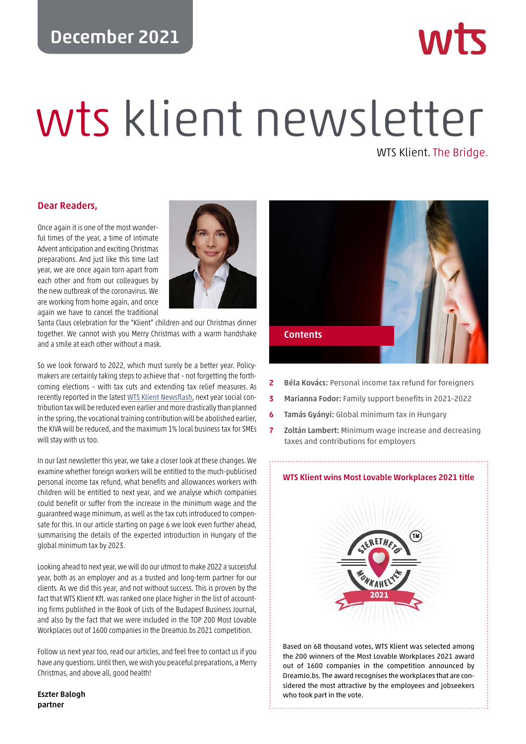# **December 2021**

# wts klient newsletter

WTS Klient. The Bridge.

### **Dear Readers,**

Once again it is one of the most wonderful times of the year, a time of intimate Advent anticipation and exciting Christmas preparations. And just like this time last year, we are once again torn apart from each other and from our colleagues by the new outbreak of the coronavirus. We are working from home again, and once again we have to cancel the traditional



Santa Claus celebration for the "Klient" children and our Christmas dinner together. We cannot wish you Merry Christmas with a warm handshake and a smile at each other without a mask.

So we look forward to 2022, which must surely be a better year. Policymakers are certainly taking steps to achieve that – not forgetting the forthcoming elections – with tax cuts and extending tax relief measures. As recently reported in the latest [WTS Klient Newsflash](https://wtsklient.hu/wp-content/uploads/2021/12/wts-klient-newsflash-en-20211206.pdf), next year social contribution tax will be reduced even earlier and more drastically than planned in the spring, the vocational training contribution will be abolished earlier, the KIVA will be reduced, and the maximum 1% local business tax for SMEs will stay with us too.

In our last newsletter this year, we take a closer look at these changes. We examine whether foreign workers will be entitled to the much-publicised personal income tax refund, what benefits and allowances workers with children will be entitled to next year, and we analyse which companies could benefit or suffer from the increase in the minimum wage and the guaranteed wage minimum, as well as the tax cuts introduced to compensate for this. In our article starting on page 6 we look even further ahead, summarising the details of the expected introduction in Hungary of the global minimum tax by 2023.

Looking ahead to next year, we will do our utmost to make 2022 a successful year, both as an employer and as a trusted and long-term partner for our clients. As we did this year, and not without success. This is proven by the fact that WTS Klient Kft. was ranked one place higher in the list of accounting firms published in the Book of Lists of the Budapest Business Journal, and also by the fact that we were included in the TOP 200 Most Lovable Workplaces out of 1600 companies in the DreamJo.bs 2021 competition.

Follow us next year too, read our articles, and feel free to contact us if you have any questions. Until then, we wish you peaceful preparations, a Merry Christmas, and above all, good health!

**Eszter Balogh partner**



- **2 Béla Kovács:** Personal income tax refund for foreigners
- **3 Marianna Fodor:** Family support benefits in 2021-2022
- **6 Tamás Gyányi:** Global minimum tax in Hungary
- **7 Zoltán Lambert:** Minimum wage increase and decreasing taxes and contributions for employers

### **[WTS Klient wins Most Lovable Workplaces 2021 title](https://wtsklient.hu/en/2021/12/17/most-lovable-workplaces-2021/)**



Based on 68 thousand votes, WTS Klient was selected among the 200 winners of the Most Lovable Workplaces 2021 award out of 1600 companies in the competition announced by DreamJo.bs. The award recognises the workplaces that are considered the most attractive by the employees and jobseekers who took part in the vote.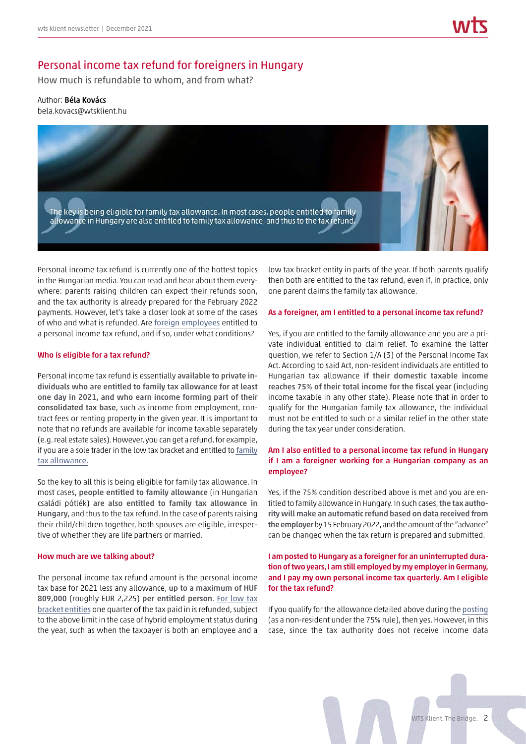# Personal income tax refund for foreigners in Hungary

How much is refundable to whom, and from what?

### Author: **Béla Kovács** bela.kovacs@wtsklient.hu



Personal income tax refund is currently one of the hottest topics in the Hungarian media. You can read and hear about them everywhere: parents raising children can expect their refunds soon, and the tax authority is already prepared for the February 2022 payments. However, let's take a closer look at some of the cases of who and what is refunded. Are [foreign employees](https://wtsklient.hu/en/2020/03/24/expat-worker/) entitled to a personal income tax refund, and if so, under what conditions?

### **Who is eligible for a tax refund?**

Personal income tax refund is essentially **available to private individuals who are entitled to family tax allowance for at least one day in 2021, and who earn income forming part of their consolidated tax base**, such as income from employment, contract fees or renting property in the given year. It is important to note that no refunds are available for income taxable separately (e.g. real estate sales). However, you can get a refund, for example, if you are a sole trader in the low tax bracket and entitled to [family](https://wtsklient.hu/en/2021/02/23/personal-income-tax-base-allowances/) [tax allowance](https://wtsklient.hu/en/2021/02/23/personal-income-tax-base-allowances/).

So the key to all this is being eligible for family tax allowance. In most cases, **people entitled to family allowance** (in Hungarian családi pótlék) **are also entitled to family tax allowance in Hungary**, and thus to the tax refund. In the case of parents raising their child/children together, both spouses are eligible, irrespective of whether they are life partners or married.

### **How much are we talking about?**

The personal income tax refund amount is the personal income tax base for 2021 less any allowance, **up to a maximum of HUF 809,000** (roughly EUR 2,225) **per entitled person**. [For low tax](https://wtsklient.hu/en/2020/12/04/low-tax-bracket-entities/) [bracket entities](https://wtsklient.hu/en/2020/12/04/low-tax-bracket-entities/) one quarter of the tax paid in is refunded, subject to the above limit in the case of hybrid employment status during the year, such as when the taxpayer is both an employee and a

low tax bracket entity in parts of the year. If both parents qualify then both are entitled to the tax refund, even if, in practice, only one parent claims the family tax allowance.

### **As a foreigner, am I entitled to a personal income tax refund?**

Yes, if you are entitled to the family allowance and you are a private individual entitled to claim relief. To examine the latter question, we refer to Section 1/A (3) of the Personal Income Tax Act. According to said Act, non-resident individuals are entitled to Hungarian tax allowance **if their domestic taxable income reaches 75% of their total income for the fiscal year** (including income taxable in any other state). Please note that in order to qualify for the Hungarian family tax allowance, the individual must not be entitled to such or a similar relief in the other state during the tax year under consideration.

### **Am I also entitled to a personal income tax refund in Hungary if I am a foreigner working for a Hungarian company as an employee?**

Yes, if the 75% condition described above is met and you are entitled to family allowance in Hungary. In such cases,**the tax authority will make an automatic refund based on data received from the employer**by 15 February 2022, and the amount of the "advance" can be changed when the tax return is prepared and submitted.

### **I am posted to Hungary as a foreigner for an uninterrupted duration of two years, I am still employed by my employer in Germany, and I pay my own personal income tax quarterly. Am I eligible for the tax refund?**

If you qualify for the allowance detailed above during the [posting](https://wtsklient.hu/en/2019/05/21/tax-risks-of-foreign-postings/) (as a non-resident under the 75% rule), then yes. However, in this case, since the tax authority does not receive income data

WTS Klient. The Bridge. 2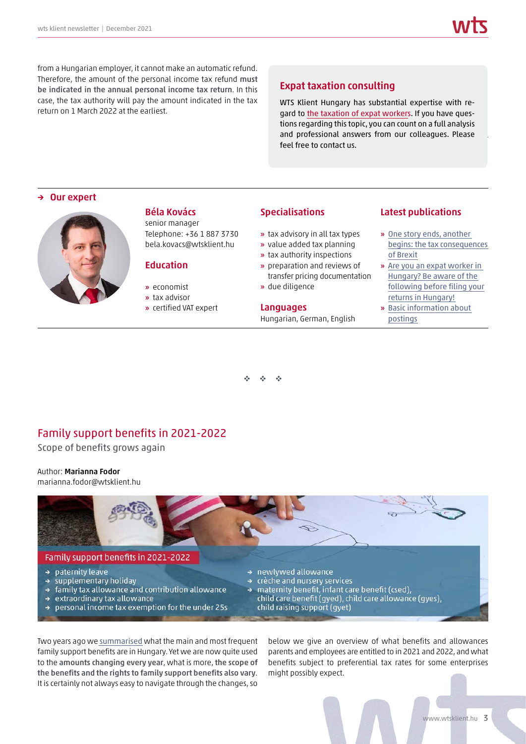from a Hungarian employer, it cannot make an automatic refund. Therefore, the amount of the personal income tax refund **must be indicated in the annual personal income tax return**. In this case, the tax authority will pay the amount indicated in the tax return on 1 March 2022 at the earliest.

# **Expat taxation consulting**

WTS Klient Hungary has substantial expertise with regard to [the taxation of expat workers.](https://wtsklient.hu/en/services/expat-taxation-consulting-and-compliance-work-tax-returns/) If you have questions regarding this topic, you can count on a full analysis and professional answers from our colleagues. Please feel free to contact us.

### **→ Our expert**



### **Béla Kovács**

senior manager Telephone: +36 1 887 3730 bela.kovacs@wtsklient.hu

# **Education**

- **»** economist
- **»** tax advisor
- **»** certified VAT expert

### **Specialisations**

- **»** tax advisory in all tax types
- **»** value added tax planning
- **»** tax authority inspections
- **»** preparation and reviews of transfer pricing documentation
- **»** due diligence

# **Languages**

Hungarian, German, English

### **Latest publications**

- **»** One story ends, another [begins: the tax consequences](https://wtsklient.hu/en/2021/01/15/tax-consequences-of-brexit/) of Brexit
- **»** Are you an expat worker in Hungary? Be aware of the [following before filing your](https://wtsklient.hu/en/2020/03/24/expat-worker/) returns in Hungary!
- **»** [Basic information about](https://wtsklient.hu/en/2019/06/11/basic-information-about-postings/) postings

- $\mathcal{A}$ -

# Family support benefits in 2021-2022

Scope of benefits grows again

### Author: **Marianna Fodor**

marianna.fodor@wtsklient.hu



Two years ago we [summarised](https://wtsklient.hu/en/2019/03/05/family-benefits/) what the main and most frequent family support benefits are in Hungary. Yet we are now quite used to the **amounts changing every year**, what is more, **the scope of the benefits and the rights to family support benefits also vary**. It is certainly not always easy to navigate through the changes, so

below we give an overview of what benefits and allowances parents and employees are entitled to in 2021 and 2022, and what benefits subject to preferential tax rates for some enterprises might possibly expect.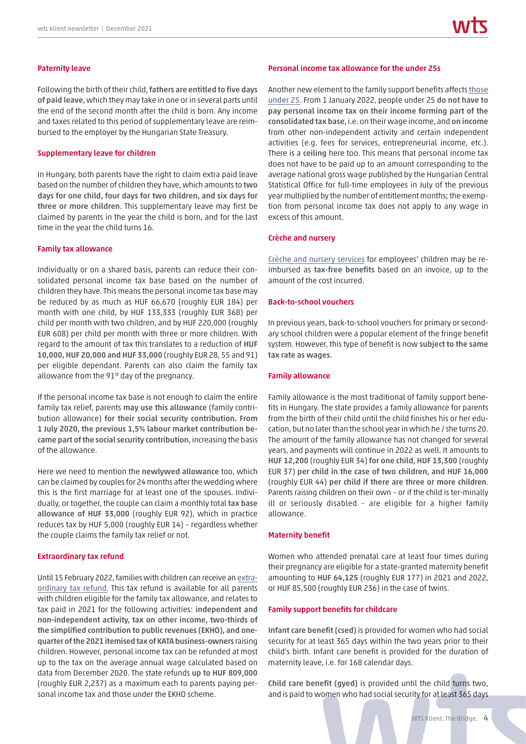Following the birth of their child,**fathers are entitled to five days of paid leave**, which they may take in one or in several parts until the end of the second month after the child is born. Any income and taxes related to this period of supplementary leave are reimbursed to the employer by the Hungarian State Treasury.

### **Supplementary leave for children**

In Hungary, both parents have the right to claim extra paid leave based on the number of children they have, which amounts to **two days for one child, four days for two children, and six days for three or more children**. This supplementary leave may first be claimed by parents in the year the child is born, and for the last time in the year the child turns 16.

### **Family tax allowance**

Individually or on a shared basis, parents can reduce their consolidated personal income tax base based on the number of children they have. This means the personal income tax base may be reduced by as much as HUF 66,670 (roughly EUR 184) per month with one child, by HUF 133,333 (roughly EUR 368) per child per month with two children, and by HUF 220,000 (roughly EUR 608) per child per month with three or more children. With regard to the amount of tax this translates to a reduction of **HUF 10,000, HUF 20,000 and HUF 33,000** (roughly EUR 28, 55 and 91) per eligible dependant. Parents can also claim the family tax allowance from the  $91<sup>st</sup>$  day of the pregnancy.

If the personal income tax base is not enough to claim the entire family tax relief, parents **may use this allowance** (family contribution allowance) **for their social security contribution. From 1 July 2020, the previous 1,5% labour market contribution became part of the social security contribution**, increasing the basis of the allowance.

Here we need to mention the **newlywed allowance** too, which can be claimed by couples for 24 months after the wedding where this is the first marriage for at least one of the spouses. Individually, or together, the couple can claim a monthly total **tax base allowance of HUF 33,000** (roughly EUR 92), which in practice reduces tax by HUF 5,000 (roughly EUR 14) – regardless whether the couple claims the family tax relief or not.

### **Extraordinary tax refund**

Until 15 February 2022, families with children can receive an [extra](https://wtsklient.hu/en/2021/11/02/personal-income-tax-refund/)[ordinary tax refund](https://wtsklient.hu/en/2021/11/02/personal-income-tax-refund/). This tax refund is available for all parents with children eligible for the family tax allowance, and relates to tax paid in 2021 for the following activities: **independent and non-independent activity, tax on other income, two-thirds of the simplified contribution to public revenues (EKHO), and onequarter of the 2021 itemised tax of KATA business-owners** raising children. However, personal income tax can be refunded at most up to the tax on the average annual wage calculated based on data from December 2020. The state refunds **up to HUF 809,000** (roughly EUR 2,237) as a maximum each to parents paying personal income tax and those under the EKHO scheme.

### **Personal income tax allowance for the under 25s**

Another new element to the family support benefits affects [those](https://wtsklient.hu/en/2021/05/05/allowance-for-young-people-under-25/) [under 25.](https://wtsklient.hu/en/2021/05/05/allowance-for-young-people-under-25/) From 1 January 2022, people under 25 **do not have to pay personal income tax on their income forming part of the consolidated tax base**, i.e. on their wage income, and **on income** from other non-independent activity and certain independent activities (e.g. fees for services, entrepreneurial income, etc.). There is a **ceiling** here too. This means that personal income tax does not have to be paid up to an amount corresponding to the average national gross wage published by the Hungarian Central Statistical Office for full-time employees in July of the previous year multiplied by the number of entitlement months; the exemption from personal income tax does not apply to any wage in excess of this amount.

### **Crèche and nursery**

Crèche [and nursery services](https://wtsklient.hu/en/2017/01/17/tax-free-payment-nursery-creche-costs-employers/) for employees' children may be reimbursed as **tax-free benefits** based on an invoice, up to the amount of the cost incurred.

### **Back-to-school vouchers**

In previous years, back-to-school vouchers for primary or secondary school children were a popular element of the fringe benefit system. However, this type of benefit is now **subject to the same tax rate as wages**.

### **Family allowance**

Family allowance is the most traditional of family support benefits in Hungary. The state provides a family allowance for parents from the birth of their child until the child finishes his or her education, but no later than the school year in which he / she turns 20. The amount of the family allowance has not changed for several years, and payments will continue in 2022 as well. It amounts to **HUF 12,200** (roughly EUR 34) **for one child, HUF 13,300** (roughly EUR 37) **per child in the case of two children, and HUF 16,000** (roughly EUR 44) **per child if there are three or more children**. Parents raising children on their own – or if the child is ter-minally ill or seriously disabled – are eligible for a higher family allowance.

### **Maternity benefit**

Women who attended prenatal care at least four times during their pregnancy are eligible for a state-granted maternity benefit amounting to **HUF 64,125** (roughly EUR 177) in 2021 and 2022, or HUF 85,500 (roughly EUR 236) in the case of twins.

### **Family support benefits for childcare**

**Infant care benefit (csed)** is provided for women who had social security for at least 365 days within the two years prior to their child's birth. Infant care benefit is provided for the duration of maternity leave, i.e. for 168 calendar days.

**Child care benefit (gyed)** is provided until the child turns two, and is paid to women who had social security for at least 365 days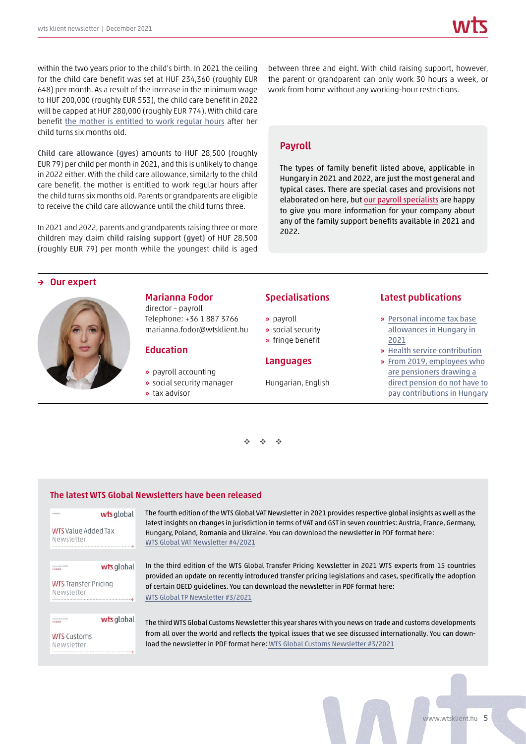within the two years prior to the child's birth. In 2021 the ceiling for the child care benefit was set at HUF 234,360 (roughly EUR 648) per month. As a result of the increase in the minimum wage to HUF 200,000 (roughly EUR 553), the child care benefit in 2022 will be capped at HUF 280,000 (roughly EUR 774). With child care benefit [the mother is entitled to work regular hours](https://wtsklient.hu/en/2014/01/06/gyed-extra-avagy-jobban-megeri-gyermeket-vallalni/) after her child turns six months old.

**Child care allowance (gyes)** amounts to HUF 28,500 (roughly EUR 79) per child per month in 2021, and this is unlikely to change in 2022 either. With the child care allowance, similarly to the child care benefit, the mother is entitled to work regular hours after the child turns six months old. Parents or grandparents are eligible to receive the child care allowance until the child turns three.

In 2021 and 2022, parents and grandparents raising three or more children may claim **child raising support (gyet)** of HUF 28,500 (roughly EUR 79) per month while the youngest child is aged

between three and eight. With child raising support, however, the parent or grandparent can only work 30 hours a week, or work from home without any working-hour restrictions.

# **Payroll**

The types of family benefit listed above, applicable in Hungary in 2021 and 2022, are just the most general and typical cases. There are special cases and provisions not elaborated on here, but [our payroll specialists](https://wtsklient.hu/en/services/payroll/) are happy to give you more information for your company about any of the family support benefits available in 2021 and 2022.

### **Our expert**



### **Marianna Fodor**

director – payroll Telephone: +36 1 887 3766 marianna.fodor@wtsklient.hu

### **Education**

- **»** payroll accounting
- **»** social security manager
- **»** tax advisor

### **Specialisations**

- **»** payroll
- **»** social security
- **»** fringe benefit

### **Languages**

Hungarian, English

### **Latest publications**

- **»** [Personal income tax base](https://wtsklient.hu/en/2021/02/23/personal-income-tax-base-allowances/) allowances in Hungary in 2021
- **»** [Health service contribution](https://wtsklient.hu/en/2019/05/28/health-service-contribution/)
- **»** From 2019, employees who are pensioners drawing a direct pension do not have to [pay contributions in Hungary](https://wtsklient.hu/en/2019/01/22/pensioners-drawing-a-direct-pension/)



### **The latest WTS Global Newsletters have been released**

# wts global **WTS** Value Added Tax Newsletter wts global November 2021 **WTS** Transfer Pricing Newsletter

November 2021

**WTS Customs** Newsletter

wts global

The fourth edition of the WTS Global VAT Newsletter in 2021 provides respective global insights as well as the latest insights on changes in jurisdiction in terms of VAT and GST in seven countries: Austria, France, Germany, Hungary, Poland, Romania and Ukraine. You can download the newsletter in PDF format here: [WTS Global VAT Newsletter #4/2021](https://wtsklient.hu/wp-content/uploads/2021/11/wts-vat-newsletter-4-2021.pdf)

In the third edition of the WTS Global Transfer Pricing Newsletter in 2021 WTS experts from 15 countries provided an update on recently introduced transfer pricing legislations and cases, specifically the adoption of certain OECD guidelines. You can download the newsletter in PDF format here: [WTS Global TP Newsletter #3/2021](https://wtsklient.hu/wp-content/uploads/2021/12/wts-newsletter-tp-3-2021.pdf)

The third WTS Global Customs Newsletter this year shares with you news on trade and customs developments from all over the world and reflects the typical issues that we see discussed internationally. You can download the newsletter in PDF format here: [WTS Global Customs Newsletter #3/2021](https://wtsklient.hu/wp-content/uploads/2021/12/wts-global-customs-newsletter-3-2021.pdf)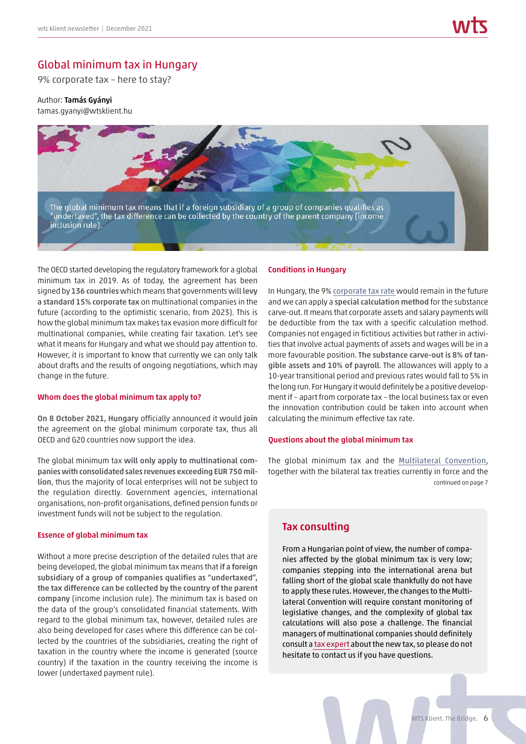# Global minimum tax in Hungary

9% corporate tax – here to stay?

### Author: **Tamás Gyányi**

tamas.gyanyi@wtsklient.hu



The OECD started developing the regulatory framework for a global minimum tax in 2019. As of today, the agreement has been signed by **136 countries** which means that governments will **levy a standard 15% corporate tax** on multinational companies in the future (according to the optimistic scenario, from 2023). This is how the global minimum tax makes tax evasion more difficult for multinational companies, while creating fair taxation. Let's see what it means for Hungary and what we should pay attention to. However, it is important to know that currently we can only talk about drafts and the results of ongoing negotiations, which may change in the future.

### **Whom does the global minimum tax apply to?**

**On 8 October 2021, Hungary** officially announced it would **join** the agreement on the global minimum corporate tax, thus all OECD and G20 countries now support the idea.

The global minimum tax **will only apply to multinational companies with consolidated sales revenues exceeding EUR 750 million**, thus the majority of local enterprises will not be subject to the regulation directly. Government agencies, international organisations, non-profit organisations, defined pension funds or investment funds will not be subject to the regulation.

### **Essence of global minimum tax**

Without a more precise description of the detailed rules that are being developed, the global minimum tax means that **if a foreign subsidiary of a group of companies qualifies as "undertaxed", the tax difference can be collected by the country of the parent company** (income inclusion rule). The minimum tax is based on the data of the group's consolidated financial statements. With regard to the global minimum tax, however, detailed rules are also being developed for cases where this difference can be collected by the countries of the subsidiaries, creating the right of taxation in the country where the income is generated (source country) if the taxation in the country receiving the income is lower (undertaxed payment rule).

### **Conditions in Hungary**

In Hungary, the 9% [corporate tax rate](https://wtsklient.hu/en/2017/06/27/paying-topping-corporate-tax/) would remain in the future and we can apply a **special calculation method** for the substance carve-out. It means that corporate assets and salary payments will be deductible from the tax with a specific calculation method. Companies not engaged in fictitious activities but rather in activities that involve actual payments of assets and wages will be in a more favourable position. **The substance carve-out is 8% of tangible assets and 10% of payroll**. The allowances will apply to a 10-year transitional period and previous rates would fall to 5% in the long run. For Hungary it would definitely be a positive development if – apart from corporate tax – the local business tax or even the innovation contribution could be taken into account when calculating the minimum effective tax rate.

### **Questions about the global minimum tax**

The global minimum tax and the [Multilateral Convention](https://wtsklient.hu/en/2017/06/22/multilateral-convention/), together with the bilateral tax treaties currently in force and the continued on page 7

# **Tax consulting**

From a Hungarian point of view, the number of companies affected by the global minimum tax is very low; companies stepping into the international arena but falling short of the global scale thankfully do not have to apply these rules. However, the changes to the Multilateral Convention will require constant monitoring of legislative changes, and the complexity of global tax calculations will also pose a challenge. The financial managers of multinational companies should definitely consult a [tax expert](https://wtsklient.hu/en/services/tax-consulting/) about the new tax, so please do not hesitate to contact us if you have questions.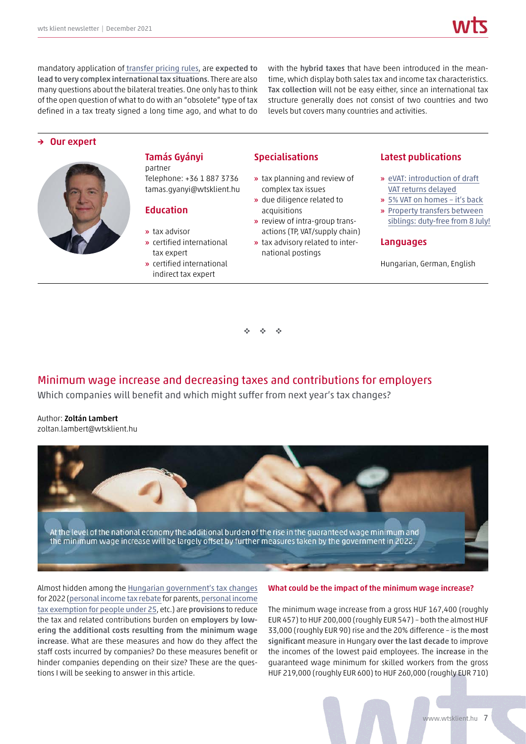mandatory application of [transfer pricing rules](https://wtsklient.hu/en/2017/07/13/tp-policy/), are **expected to lead to very complex international tax situations**. There are also many questions about the bilateral treaties. One only has to think of the open question of what to do with an "obsolete" type of tax defined in a tax treaty signed a long time ago, and what to do

with the **hybrid taxes** that have been introduced in the meantime, which display both sales tax and income tax characteristics. **Tax collection** will not be easy either, since an international tax structure generally does not consist of two countries and two levels but covers many countries and activities.

### **→ Our expert**



### **Tamás Gyányi** partner

Telephone: +36 1 887 3736 tamas.gyanyi@wtsklient.hu

### **Education**

- **»** tax advisor
- **»** certified international tax expert
- **»** certified international indirect tax expert

# **Specialisations**

- **»** tax planning and review of complex tax issues
- **»** due diligence related to acquisitions
- **»** review of intra-group transactions (TP, VAT/supply chain)
- **»** tax advisory related to international postings

### **Latest publications**

- **»** [eVAT: introduction of draft](https://wtsklient.hu/en/2021/09/07/draft-vat-returns/) VAT returns delayed
- **»** [5% VAT on homes it's back](https://wtsklient.hu/en/2020/11/10/5-vat-on-homes/)
- **»** Property transfers between [siblings: duty-free from 8 July!](https://wtsklient.hu/en/2020/07/06/property-transfers-between-siblings/)

### **Languages**

Hungarian, German, English

- $\mathcal{L}_{\mathcal{A}}$ -

# Minimum wage increase and decreasing taxes and contributions for employers

Which companies will benefit and which might suffer from next year's tax changes?

Author: **Zoltán Lambert** zoltan.lambert@wtsklient.hu



Almost hidden among the [Hungarian government's tax changes](https://wtsklient.hu/en/2021/12/06/autumn-tax-amendments/) for 2022 ([personal income tax rebate](https://wtsklient.hu/en/2021/11/02/personal-income-tax-refund/) for parents, [personal income](https://wtsklient.hu/en/2021/05/05/allowance-for-young-people-under-25/) [tax exemption for people under 25](https://wtsklient.hu/en/2021/05/05/allowance-for-young-people-under-25/), etc.) are **provisions** to reduce the tax and related contributions burden on **employers** by **lowering the additional costs resulting from the minimum wage increase**. What are these measures and how do they affect the staff costs incurred by companies? Do these measures benefit or hinder companies depending on their size? These are the questions I will be seeking to answer in this article.

### **What could be the impact of the minimum wage increase?**

The minimum wage increase from a gross HUF 167,400 (roughly EUR 457) to HUF 200,000 (roughly EUR 547) – both the almost HUF 33,000 (roughly EUR 90) rise and the 20% difference – is the **most significant** measure in Hungary **over the last decade** to improve the incomes of the lowest paid employees. The **increase** in the guaranteed wage minimum for skilled workers from the gross HUF 219,000 (roughly EUR 600) to HUF 260,000 (roughly EUR 710)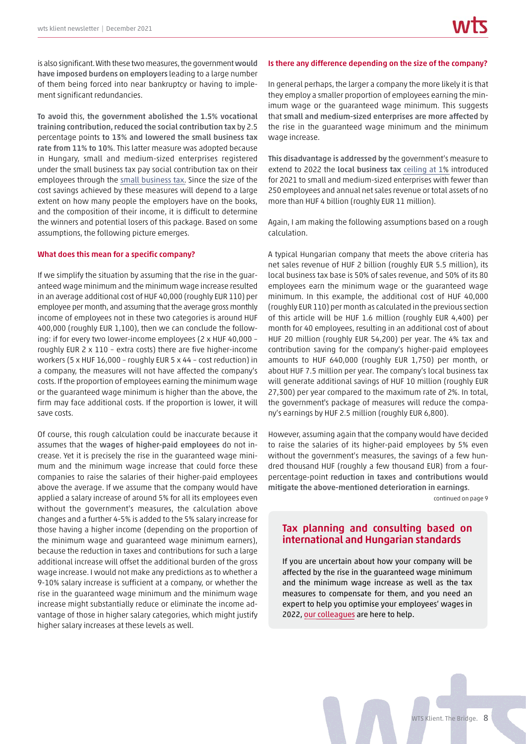is also significant. With these two measures, the government would **have imposed burdens on employers** leading to a large number of them being forced into near bankruptcy or having to implement significant redundancies.

**To avoid** this, **the government abolished the 1.5% vocational training contribution,reduced the social contribution tax** by 2.5 percentage points **to 13% and lowered the small business tax rate from 11% to 10%**. This latter measure was adopted because in Hungary, small and medium-sized enterprises registered under the small business tax pay social contribution tax on their employees through the small [business](https://wtsklient.hu/en/2020/10/13/small-business-tax/) tax. Since the size of the cost savings achieved by these measures will depend to a large extent on how many people the employers have on the books, and the composition of their income, it is difficult to determine the winners and potential losers of this package. Based on some assumptions, the following picture emerges.

### **What does this mean for a specific company?**

If we simplify the situation by assuming that the rise in the guaranteed wage minimum and the minimum wage increase resulted in an average additional cost of HUF 40,000 (roughly EUR 110) per employee per month, and assuming that the average gross monthly income of employees not in these two categories is around HUF 400,000 (roughly EUR 1,100), then we can conclude the following: if for every two lower-income employees (2 x HUF 40,000 – roughly EUR 2 x 110 – extra costs) there are five higher-income workers (5 x HUF 16,000 – roughly EUR 5 x 44 – cost reduction) in a company, the measures will not have affected the company's costs. If the proportion of employees earning the minimum wage or the guaranteed wage minimum is higher than the above, the firm may face additional costs. If the proportion is lower, it will save costs.

Of course, this rough calculation could be inaccurate because it assumes that the **wages of higher-paid employees** do not increase. Yet it is precisely the rise in the guaranteed wage minimum and the minimum wage increase that could force these companies to raise the salaries of their higher-paid employees above the average. If we assume that the company would have applied a salary increase of around 5% for all its employees even without the government's measures, the calculation above changes and a further 4-5% is added to the 5% salary increase for those having a higher income (depending on the proportion of the minimum wage and guaranteed wage minimum earners), because the reduction in taxes and contributions for such a large additional increase will offset the additional burden of the gross wage increase. I would not make any predictions as to whether a 9-10% salary increase is sufficient at a company, or whether the rise in the guaranteed wage minimum and the minimum wage increase might substantially reduce or eliminate the income advantage of those in higher salary categories, which might justify higher salary increases at these levels as well.

### **Is there any difference depending on the size of the company?**

In general perhaps, the larger a company the more likely it is that they employ a smaller proportion of employees earning the minimum wage or the guaranteed wage minimum. This suggests that **small and medium-sized enterprises are more affected** by the rise in the guaranteed wage minimum and the minimum wage increase.

**This disadvantage is addressed by** the government's measure to extend to 2022 the **local business tax** [ceiling](https://wtsklient.hu/en/2021/01/14/business-tax/) at 1% introduced for 2021 to small and medium-sized enterprises with fewer than 250 employees and annual net sales revenue or total assets of no more than HUF 4 billion (roughly EUR 11 million).

Again, I am making the following assumptions based on a rough calculation.

A typical Hungarian company that meets the above criteria has net sales revenue of HUF 2 billion (roughly EUR 5.5 million), its local business tax base is 50% of sales revenue, and 50% of its 80 employees earn the minimum wage or the guaranteed wage minimum. In this example, the additional cost of HUF 40,000 (roughly EUR 110) per month as calculated in the previoussection of this article will be HUF 1.6 million (roughly EUR 4,400) per month for 40 employees, resulting in an additional cost of about HUF 20 million (roughly EUR 54,200) per year. The 4% tax and contribution saving for the company's higher-paid employees amounts to HUF 640,000 (roughly EUR 1,750) per month, or about HUF 7.5 million per year. The company's local business tax will generate additional savings of HUF 10 million (roughly EUR 27,300) per year compared to the maximum rate of 2%. In total, the government's package of measures will reduce the company's earnings by HUF 2.5 million (roughly EUR 6,800).

However, assuming again that the company would have decided to raise the salaries of its higher-paid employees by 5% even without the government's measures, the savings of a few hundred thousand HUF (roughly a few thousand EUR) from a fourpercentage-point **reduction in taxes and contributions would mitigate the above-mentioned deterioration in earnings**.

continued on page 9

# **Tax planning and consulting based on international and Hungarian standards**

If you are uncertain about how your company will be affected by the rise in the guaranteed wage minimum and the minimum wage increase as well as the tax measures to compensate for them, and you need an expert to help you optimise your employees' wages in 2022, our [colleagues](https://wtsklient.hu/en/services/tax-planning-and-consulting-based-on-international-and-hungarian-standards/) are here to help.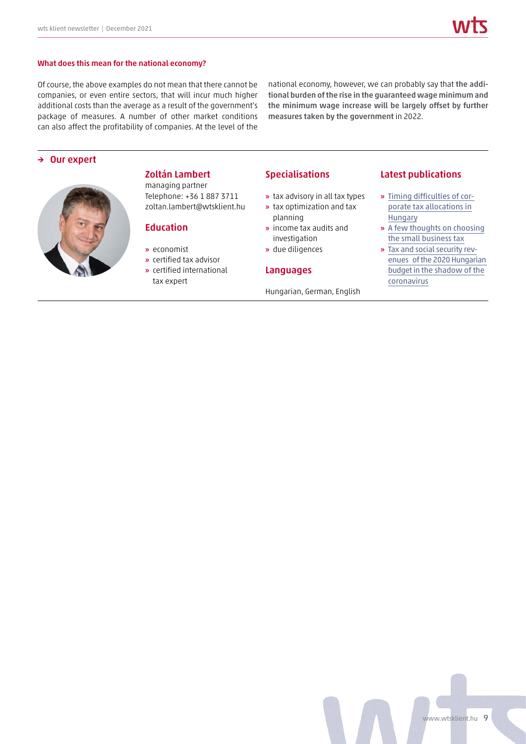### **What does this mean for the national economy?**

Of course, the above examples do not mean that there cannot be companies, or even entire sectors, that will incur much higher additional costs than the average as a result of the government's package of measures. A number of other market conditions can also affect the profitability of companies. At the level of the

national economy, however, we can probably say that **the additional burden of the rise in the guaranteed wage minimum and the minimum wage increase will be largely offset by further measures taken by the government** in 2022.

# **→ Our expert**



# **Zoltán Lambert**

managing partner Telephone: +36 1 887 3711 zoltan.lambert@wtsklient.hu

### **Education**

- **»** economist
- **»** certified tax advisor
- **»** certified international tax expert

### **Specialisations**

- **»** tax advisory in all tax types
- **»** tax optimization and tax planning
- **»** income tax audits and investigation
- **»** due diligences

### **Languages**

Hungarian, German, English

### **Latest publications**

- **»** [Timing difficulties of cor](https://wtsklient.hu/en/2021/05/06/corporate-tax-allocations-in-hungary/)porate tax allocations in **Hungary**
- **»** [A few thoughts on choosing](https://wtsklient.hu/en/2020/10/13/small-business-tax/) the small business tax
- **»** Tax and social security rev[enues of the 2020 Hungarian](https://wtsklient.hu/en/2020/04/07/2020-hungarian-budget/) budget in the shadow of the coronavirus